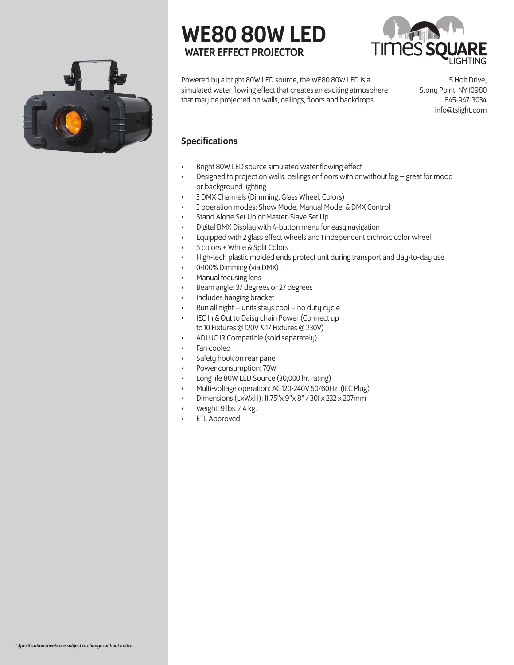

# WE80 80W LED WATER EFFECT PROJECTOR



Powered by a bright 80W LED source, the WE80 80W LED is a simulated water flowing effect that creates an exciting atmosphere that may be projected on walls, ceilings, floors and backdrops.

5 Holt Drive, Stony Point, NY 10980 845-947-3034 info@tslight.com

### Specifications

- Bright 80W LED source simulated water flowing effect
- Designed to project on walls, ceilings or floors with or without fog great for mood or background lighting
- 3 DMX Channels (Dimming, Glass Wheel, Colors)
- 3 operation modes: Show Mode, Manual Mode, & DMX Control
- Stand Alone Set Up or Master-Slave Set Up
- Digital DMX Display with 4-button menu for easy navigation
- Equipped with 2 glass effect wheels and 1 independent dichroic color wheel
- 5 colors + White & Split Colors
- High-tech plastic molded ends protect unit during transport and day-to-day use
- 0-100% Dimming (via DMX)
- Manual focusing lens
- Beam angle: 37 degrees or 27 degrees
- Includes hanging bracket
- Run all night  $-$  units stays cool  $-$  no duty cycle
- IEC In & Out to Daisy chain Power (Connect up to 10 Fixtures @ 120V & 17 Fixtures @ 230V)
- ADJ UC IR Compatible (sold separately)
- Fan cooled
- Safety hook on rear panel
- Power consumption: 70W
- Long life 80W LED Source (30,000 hr. rating)
- Multi-voltage operation: AC 120-240V 50/60Hz (IEC Plug)
- Dimensions (LxWxH): 11.75"x 9"x 8" / 301 x 232 x 207mm
- Weight: 9 lbs. / 4 kg.
- ETL Approved